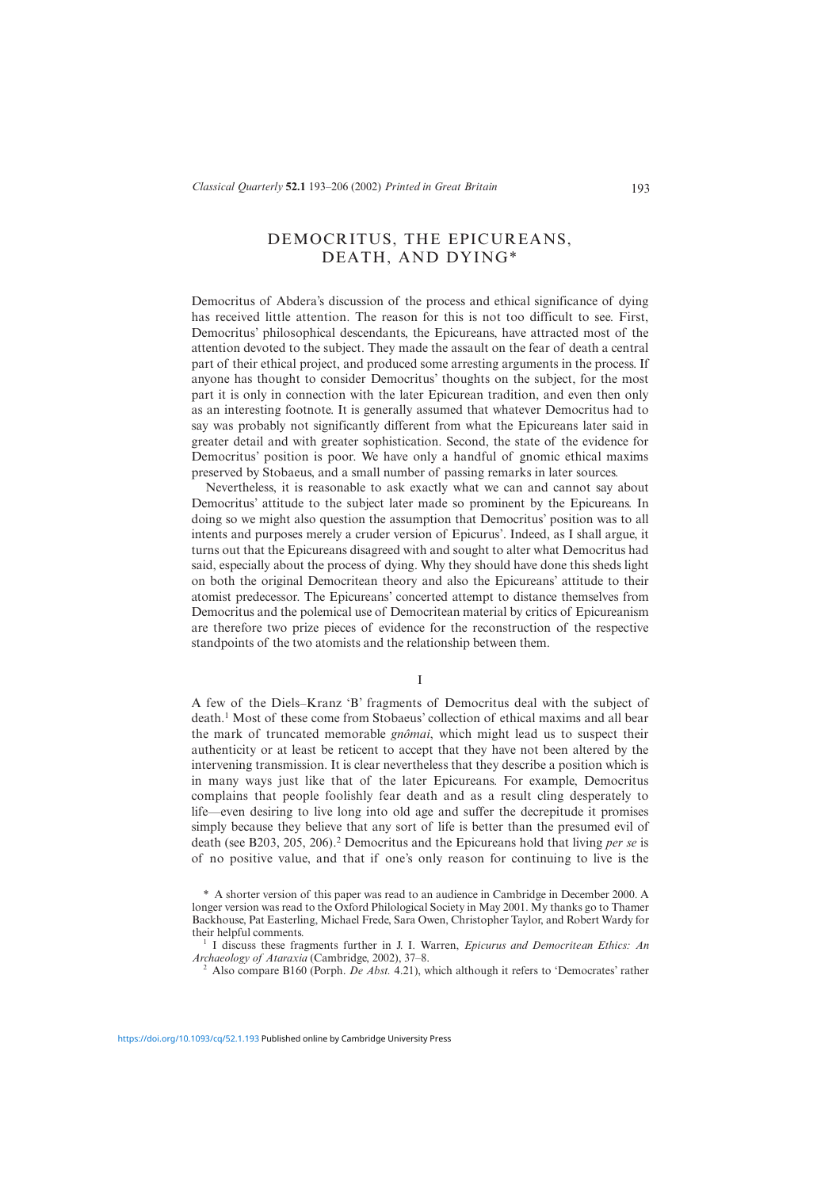# DEMOCRITUS, THE EPICUREANS, DEATH, AND DYING\*

Democritus of Abdera's discussion of the process and ethical significance of dying has received little attention. The reason for this is not too difficult to see. First, Democritus'philosophical descendants, the Epicureans, have attracted most of the attention devoted to the subject. They made the assault on the fear of death a central part of their ethical project, and produced some arresting arguments in the process. If anyone has thought to consider Democritus'thoughts on the subject, for the most part it is only in connection with the later Epicurean tradition, and even then only as an interesting footnote. It is generally assumed that whatever Democritus had to say was probably not significantly different from what the Epicureans later said in greater detail and with greater sophistication. Second, the state of the evidence for Democritus'position is poor. We have only a handful of gnomic ethical maxims preserved by Stobaeus, and a small number of passing remarks in later sources.

Nevertheless, it is reasonable to ask exactly what we can and cannot say about Democritus'attitude to the subject later made so prominent by the Epicureans. In doing so we might also question the assumption that Democritus' position was to all intents and purposes merely a cruder version of Epicurus'. Indeed, as I shall argue, it turns out that the Epicureans disagreed with and sought to alter what Democritus had said, especially about the process of dying. Why they should have done this sheds light on both the original Democritean theory and also the Epicureans'attitude to their atomist predecessor. The Epicureans'concerted attempt to distance themselves from Democritus and the polemical use of Democritean material by critics of Epicureanism are therefore two prize pieces of evidence for the reconstruction of the respective standpoints of the two atomists and the relationship between them.

I

A few of the Diels–Kranz 'B'fragments of Democritus deal with the subject of death.1 Most of these come from Stobaeus'collection of ethical maxims and all bear the mark of truncated memorable *gnômai*, which might lead us to suspect their authenticity or at least be reticent to accept that they have not been altered by the intervening transmission. It is clear nevertheless that they describe a position which is in many ways just like that of the later Epicureans. For example, Democritus complains that people foolishly fear death and as a result cling desperately to life—even desiring to live long into old age and suffer the decrepitude it promises simply because they believe that any sort of life is better than the presumed evil of death (see B203, 205, 206).2 Democritus and the Epicureans hold that living *per se* is of no positive value, and that if one's only reason for continuing to live is the

<sup>\*</sup> A shorter version of this paper was read to an audience in Cambridge in December 2000. A longer version was read to the  $\widehat{Ox}$  ford Philological Society in May 2001. My thanks go to Thamer Backhouse, Pat Easterling, Michael Frede, Sara Owen, Christopher Taylor, and Robert Wardy for their helpful comments.

<sup>1</sup> I discuss these fragments further in J. I. Warren, *Epicurus and Democritean Ethics: An Archaeology of Ataraxia* (Cambridge, 2002), 37–8.

<sup>2</sup> Also compare B160 (Porph. *De Abst.* 4.21), which although it refers to 'Democrates'rather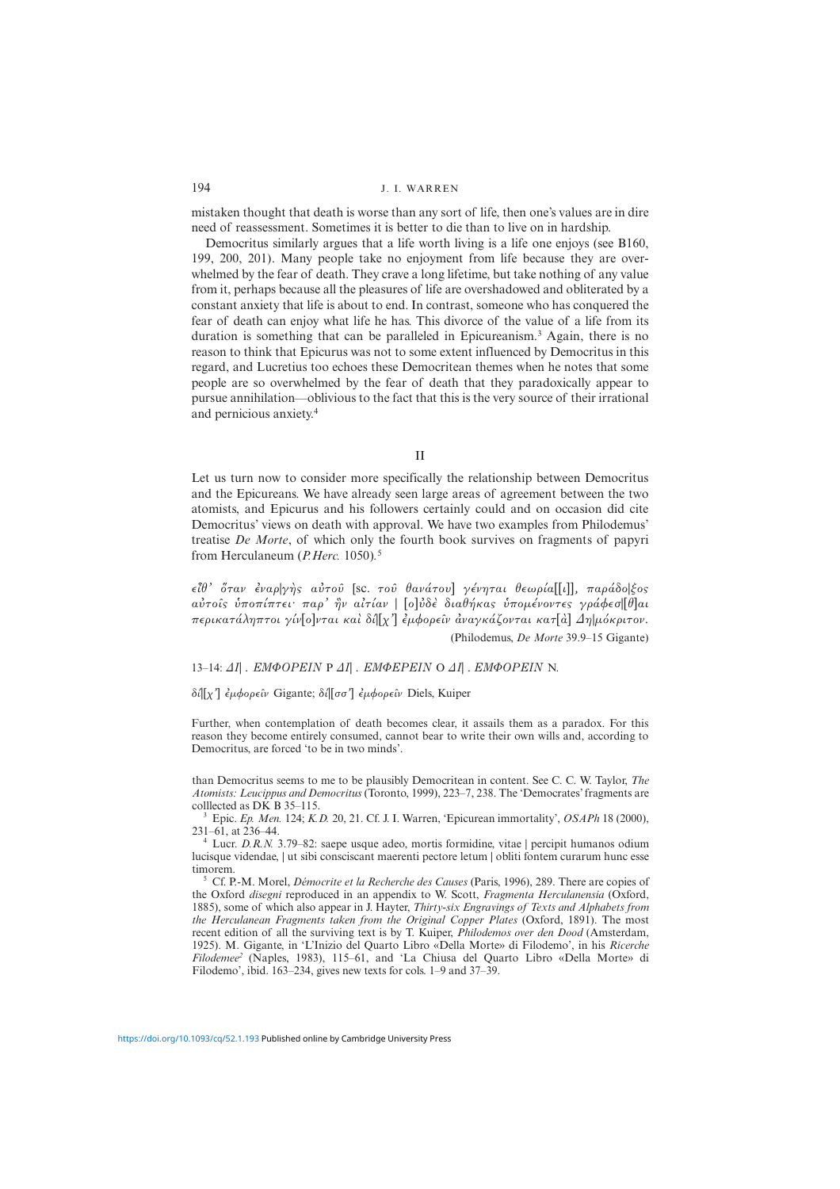mistaken thought that death is worse than any sort of life, then one's values are in dire need of reassessment. Sometimes it is better to die than to live on in hardship.

Democritus similarly argues that a life worth living is a life one enjoys (see B160, 199, 200, 201). Many people take no enjoyment from life because they are overwhelmed by the fear of death. They crave a long lifetime, but take nothing of any value from it, perhaps because all the pleasures of life are overshadowed and obliterated by a constant anxiety that life is about to end. In contrast, someone who has conquered the fear of death can enjoy what life he has. This divorce of the value of a life from its duration is something that can be paralleled in Epicureanism.<sup>3</sup> Again, there is no reason to think that Epicurus was not to some extent influenced by Democritus in this regard, and Lucretius too echoes these Democritean themes when he notes that some people are so overwhelmed by the fear of death that they paradoxically appear to pursue annihilation—oblivious to the fact that this is the very source of their irrational and pernicious anxiety.4

II

Let us turn now to consider more specifically the relationship between Democritus and the Epicureans. We have already seen large areas of agreement between the two atomists, and Epicurus and his followers certainly could and on occasion did cite Democritus'views on death with approval. We have two examples from Philodemus' treatise *De Morte*, of which only the fourth book survives on fragments of papyri from Herculaneum (*P.Herc.* 1050)*.* 5

εἶθ' ὅταν ἐναρ|γὴς αὐτοῦ [sc. τοῦ θανάτου] γένηται θεωρία[[ι]], παράδο|ξος αύτοις υποπίπτει· παρ' ήν αιτίαν | [ο]ύδε διαθήκας υπομένοντες γράφεσ|[θ]αι περικατάληπτοι γίν[ο]νται καὶ δί|[χ<sup>η</sup> ἐμφορεῖν ἀναγκάζονται κατ[ὰ] Δη|μόκριτον. (Philodemus, *De Morte* 39.9–15 Gigante)

## 13–14: ΔΙ]. ΕΜΦΟΡΕΙΝ Ρ ΔΙ]. ΕΜΦΕΡΕΙΝ Ο ΔΙ]. ΕΜΦΟΡΕΙΝ Ν.

 $\delta\ell$ [χ<sup>'</sup>] ἐμφορεῖν Gigante; δί[[σσ'] ἐμφορεῖν Diels, Kuiper

Further, when contemplation of death becomes clear, it assails them as a paradox. For this reason they become entirely consumed, cannot bear to write their own wills and, according to Democritus, are forced 'to be in two minds'.

than Democritus seems to me to be plausibly Democritean in content. See C. C. W. Taylor, *The Atomists: Leucippus and Democritus* (Toronto, 1999), 223–7, 238. The 'Democrates'fragments are colllected as DK B 35–115.

<sup>3</sup> Epic. *Ep.Men.* 124; *K.D.* 20, 21. Cf. J. I. Warren, 'Epicurean immortality', *OSAPh* 18 (2000), 231–61, at 236–44.

<sup>4</sup> Lucr. *D.R.N.* 3.79–82: saepe usque adeo, mortis formidine, vitae | percipit humanos odium lucisque videndae, | ut sibi consciscant maerenti pectore letum | obliti fontem curarum hunc esse timorem.

<sup>5</sup> Cf. P.-M. Morel, *Démocrite et la Recherche des Causes* (Paris, 1996), 289. There are copies of the Oxford *disegni* reproduced in an appendix to W. Scott, *Fragmenta Herculanensia* (Oxford, 1885), some of which also appear in J. Hayter, *Thirty-six Engravings of Texts and Alphabets from the Herculanean Fragments taken from the Original Copper Plates* (Oxford, 1891). The most recent edition of all the surviving text is by T. Kuiper, *Philodemos over den Dood* (Amsterdam, 1925). M. Gigante, in 'L'Inizio del Quarto Libro «Della Morte» di Filodemo', in his *Ricerche Filodemee2* (Naples, 1983), 115–61, and 'La Chiusa del Quarto Libro «Della Morte» di Filodemo', ibid. 163–234, gives new texts for cols. 1–9 and 37–39.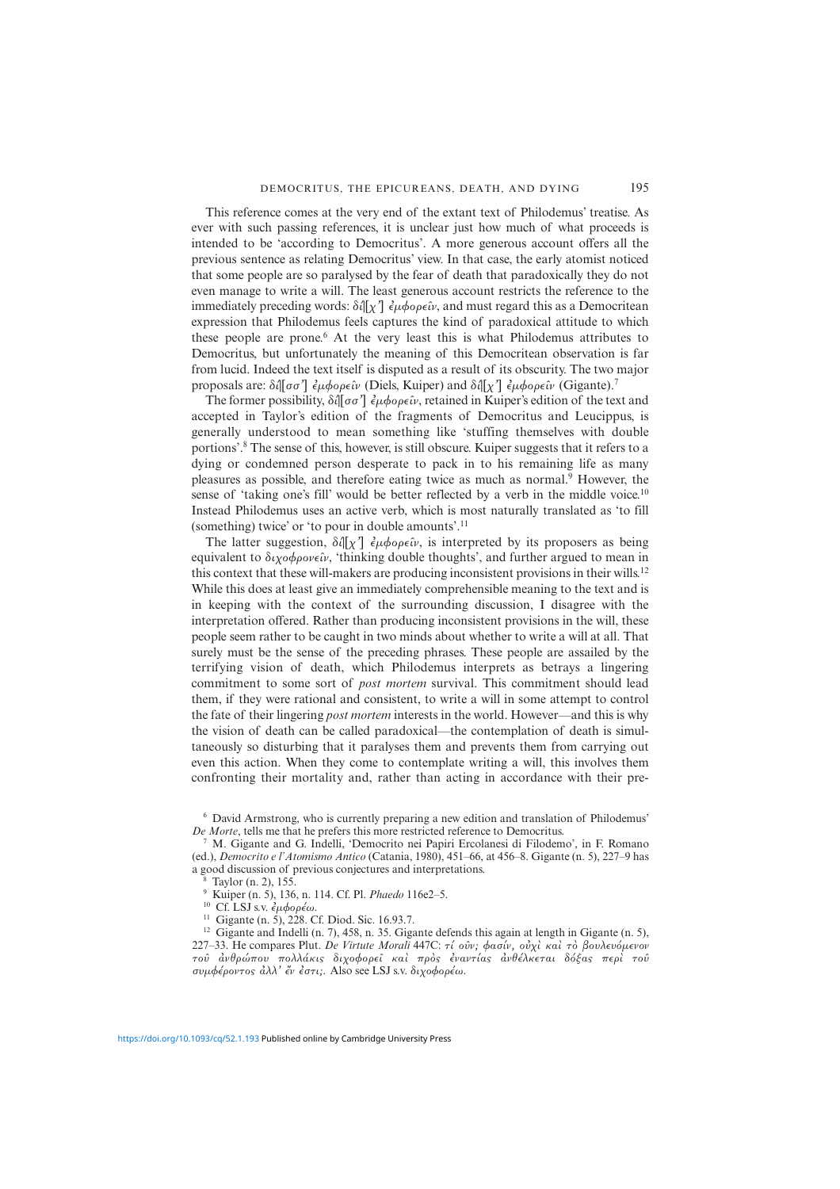This reference comes at the very end of the extant text of Philodemus'treatise. As ever with such passing references, it is unclear just how much of what proceeds is intended to be 'according to Democritus'. A more generous account offers all the previous sentence as relating Democritus'view. In that case, the early atomist noticed that some people are so paralysed by the fear of death that paradoxically they do not even manage to write a will. The least generous account restricts the reference to the immediately preceding words:  $\delta\ell$ [χ<sup>2</sup>]  $\epsilon\mu\phi$ ορείν, and must regard this as a Democritean expression that Philodemus feels captures the kind of paradoxical attitude to which these people are prone.6 At the very least this is what Philodemus attributes to Democritus, but unfortunately the meaning of this Democritean observation is far from lucid. Indeed the text itself is disputed as a result of its obscurity. The two major proposals are: δί $\sigma$ <sup>7</sup>  $\epsilon \mu \phi$ ορείν (Diels, Kuiper) and δί $\left[\chi^2\right]$   $\epsilon \mu \phi$ ορείν (Gigante).<sup>7</sup>

The former possibility,  $\delta \ell$ [σσ<sup>'</sup>]  $\epsilon \mu \phi \circ \rho \epsilon \hat{\iota} \nu$ , retained in Kuiper's edition of the text and accepted in Taylor's edition of the fragments of Democritus and Leucippus, is generally understood to mean something like 'stuffing themselves with double portions'.8 The sense of this, however, is still obscure. Kuiper suggests that it refers to a dying or condemned person desperate to pack in to his remaining life as many pleasures as possible, and therefore eating twice as much as normal.<sup>9</sup> However, the sense of 'taking one's fill' would be better reflected by a verb in the middle voice.<sup>10</sup> Instead Philodemus uses an active verb, which is most naturally translated as 'to fill (something) twice'or 'to pour in double amounts'.11

The latter suggestion,  $\delta \ell | \chi' | \epsilon \mu \phi \circ \rho \epsilon \hat{\nu}$ , is interpreted by its proposers as being equivalent to  $\delta_{\iota\chi\o\phi\rho o\nu\epsilon\hat{\iota}\nu}$ , 'thinking double thoughts', and further argued to mean in this context that these will-makers are producing inconsistent provisions in their wills.<sup>12</sup> While this does at least give an immediately comprehensible meaning to the text and is in keeping with the context of the surrounding discussion, I disagree with the interpretation offered. Rather than producing inconsistent provisions in the will, these people seem rather to be caught in two minds about whether to write a will at all. That surely must be the sense of the preceding phrases. These people are assailed by the terrifying vision of death, which Philodemus interprets as betrays a lingering commitment to some sort of *post mortem* survival. This commitment should lead them, if they were rational and consistent, to write a will in some attempt to control the fate of their lingering *post mortem* interests in the world. However—and this is why the vision of death can be called paradoxical—the contemplation of death is simultaneously so disturbing that it paralyses them and prevents them from carrying out even this action. When they come to contemplate writing a will, this involves them confronting their mortality and, rather than acting in accordance with their pre-

<sup>6</sup> David Armstrong, who is currently preparing a new edition and translation of Philodemus' *De Morte*, tells me that he prefers this more restricted reference to Democritus.

<sup>7</sup> M. Gigante and G. Indelli, 'Democrito nei Papiri Ercolanesi di Filodemo', in F. Romano (ed.), *Democrito e l'Atomismo Antico* (Catania, 1980), 451–66, at 456–8. Gigante (n. 5), 227–9 has a good discussion of previous conjectures and interpretations.

<sup>9</sup> Kuiper (n. 5), 136, n. 114. Cf. Pl. *Phaedo* 116e2–5.

<sup>11</sup> Gigante (n. 5), 228. Cf. Diod. Sic. 16.93.7.

<sup>12</sup> Gigante and Indelli (n. 7), 458, n. 35. Gigante defends this again at length in Gigante (n. 5), 227–33. He compares Plut. *De Virtute Morali* 447C: τί ούν; φασίν, ούχὶ καὶ τὸ βουλευόμενον τοῦ ἀνθρώπου πολλάκις διχοφορεῖ καὶ πρὸς ἐναντίας ἀνθέλκεται δόξας περἱ τοῦ συμφέροντος  $\partial \lambda \lambda'$  έν έστι;. Also see LSJ s.v. διχοφορέω.

Taylor (n. 2),  $155$ .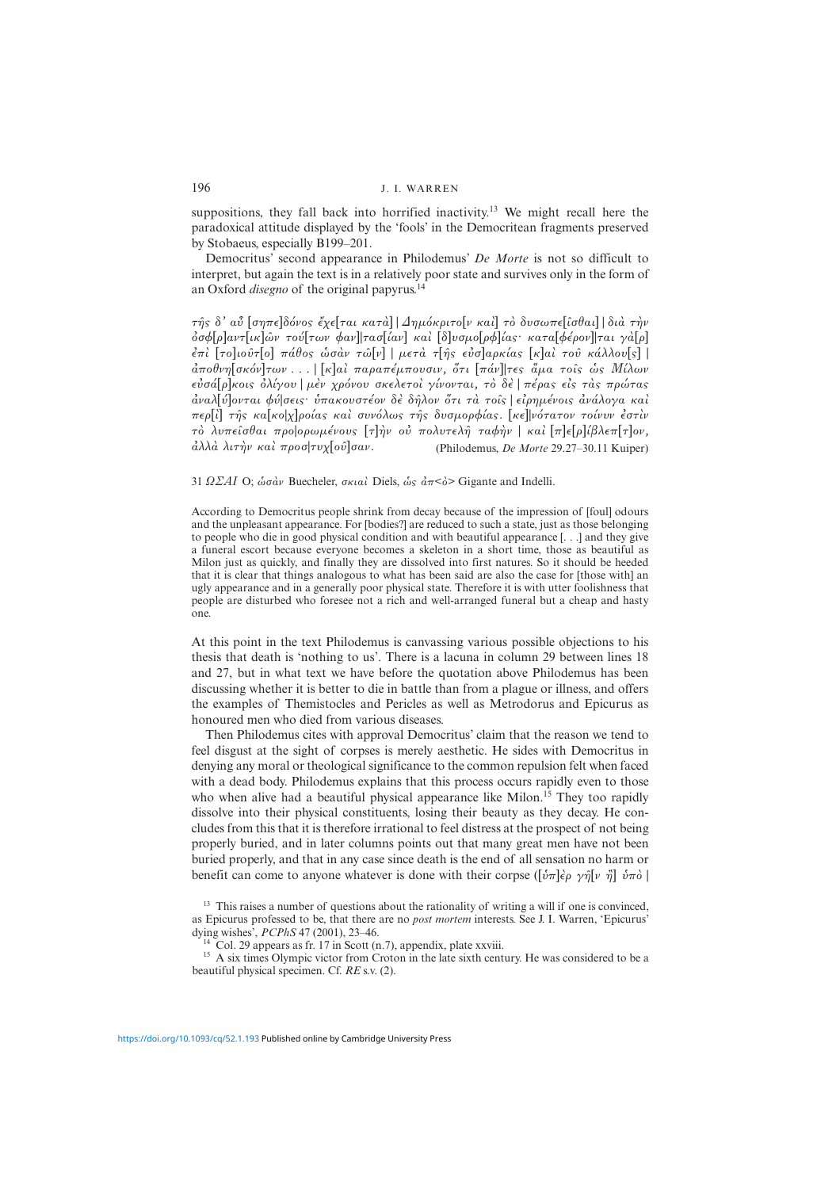suppositions, they fall back into horrified inactivity.<sup>13</sup> We might recall here the paradoxical attitude displayed by the 'fools'in the Democritean fragments preserved by Stobaeus, especially B199–201.

Democritus'second appearance in Philodemus' *De Morte* is not so difficult to interpret, but again the text is in a relatively poor state and survives only in the form of an Oxford *disegno* of the original papyrus.14

της δ' αὖ [σηπε]δόνος έχε[ται κατά] | Δημόκριτο[ν καὶ] τὸ δυσωπε[ισθαι] | διὰ τὴν δσφ[ρ]αντ[ικ]ών τού[των φαν]|τασ[ίαν] καὶ [δ]υσμο[ρφ]ίας· κατα[φέρον]|ται γὰ[ρ] επί [το]ιούτ[ο] πάθος ώσὰν τῶ[ν] | μετὰ τ[ῆς εὐσ]αρκίας [κ]αὶ τοῦ κάλλου[ς] |  $\frac{\partial \pi}{\partial y}$ σκόν $\frac{\partial \pi}{\partial y}$ ....| [κ]αί παραπέμπουσιν, ότι [πάν]|τες αμα τοίς ώς Μίλων εύσά[ρ]κοις όλίγου | μέν χρόνου σκελετοί γίνονται, τὸ δὲ | πέρας είς τὰς πρώτας αναλ[ύ]ονται φύ σεις· υπακουστέον δε δήλον ότι τα τοις | ειρημένοις ανάλογα και περ[i] της κα[κο|χ]ροίας και συνόλως της δυσμορφίας. [κε]|νότατον τοίνυν έστιν τὸ λυπείσθαι προ|ορωμένους [τ]ήν οὐ πολυτελή ταφήν | καὶ [π]ε[ρ]ίβλεπ[τ]ον,  $\frac{\partial}{\partial \lambda}$ λά λιτήν και προσ|τυχ[ού]σαν. (Philodemus, *De Morte* 29.27–30.11 Kuiper)

31  $\Omega \Sigma A I$  O; ώσαν Buecheler, σκιαί Diels, ώς  $d\pi < \delta$ > Gigante and Indelli.

According to Democritus people shrink from decay because of the impression of [foul] odours and the unpleasant appearance. For [bodies?] are reduced to such a state, just as those belonging to people who die in good physical condition and with beautiful appearance [. . .] and they give a funeral escort because everyone becomes a skeleton in a short time, those as beautiful as Milon just as quickly, and finally they are dissolved into first natures. So it should be heeded that it is clear that things analogous to what has been said are also the case for [those with] an ugly appearance and in a generally poor physical state. Therefore it is with utter foolishness that people are disturbed who foresee not a rich and well-arranged funeral but a cheap and hasty one.

At this point in the text Philodemus is canvassing various possible objections to his thesis that death is 'nothing to us'. There is a lacuna in column 29 between lines 18 and 27, but in what text we have before the quotation above Philodemus has been discussing whether it is better to die in battle than from a plague or illness, and offers the examples of Themistocles and Pericles as well as Metrodorus and Epicurus as honoured men who died from various diseases.

Then Philodemus cites with approval Democritus'claim that the reason we tend to feel disgust at the sight of corpses is merely aesthetic. He sides with Democritus in denying any moral or theological significance to the common repulsion felt when faced with a dead body. Philodemus explains that this process occurs rapidly even to those who when alive had a beautiful physical appearance like Milon.<sup>15</sup> They too rapidly dissolve into their physical constituents, losing their beauty as they decay. He concludes from this that it is therefore irrational to feel distress at the prospect of not being properly buried, and in later columns points out that many great men have not been buried properly, and that in any case since death is the end of all sensation no harm or benefit can come to anyone whatever is done with their corpse  $(\vec{v}\pi)\vec{e}_\rho \gamma \vec{v}_\rho \gamma \vec{v}_\rho + \vec{v}_\rho \gamma \vec{v}_\rho + \vec{v}_\rho \gamma \vec{v}_\rho + \vec{v}_\rho \gamma \vec{v}_\rho + \vec{v}_\rho \gamma \vec{v}_\rho + \vec{v}_\rho \gamma \vec{v}_\rho + \vec{v}_\rho \gamma \vec{v}_\rho + \vec{v}_\rho \gamma \vec{v}_\rho + \vec{v}_\rho$ 

 $<sup>13</sup>$  This raises a number of questions about the rationality of writing a will if one is convinced,</sup> as Epicurus professed to be, that there are no *post mortem* interests. See J. I. Warren, 'Epicurus' dying wishes', *PCPhS* 47 (2001), 23–46.

<sup>&</sup>lt;sup>14</sup> Col. 29 appears as fr. 17 in Scott  $(n.7)$ , appendix, plate xxviii.

<sup>&</sup>lt;sup>15</sup> A six times Olympic victor from Croton in the late sixth century. He was considered to be a beautiful physical specimen. Cf. *RE* s.v. (2).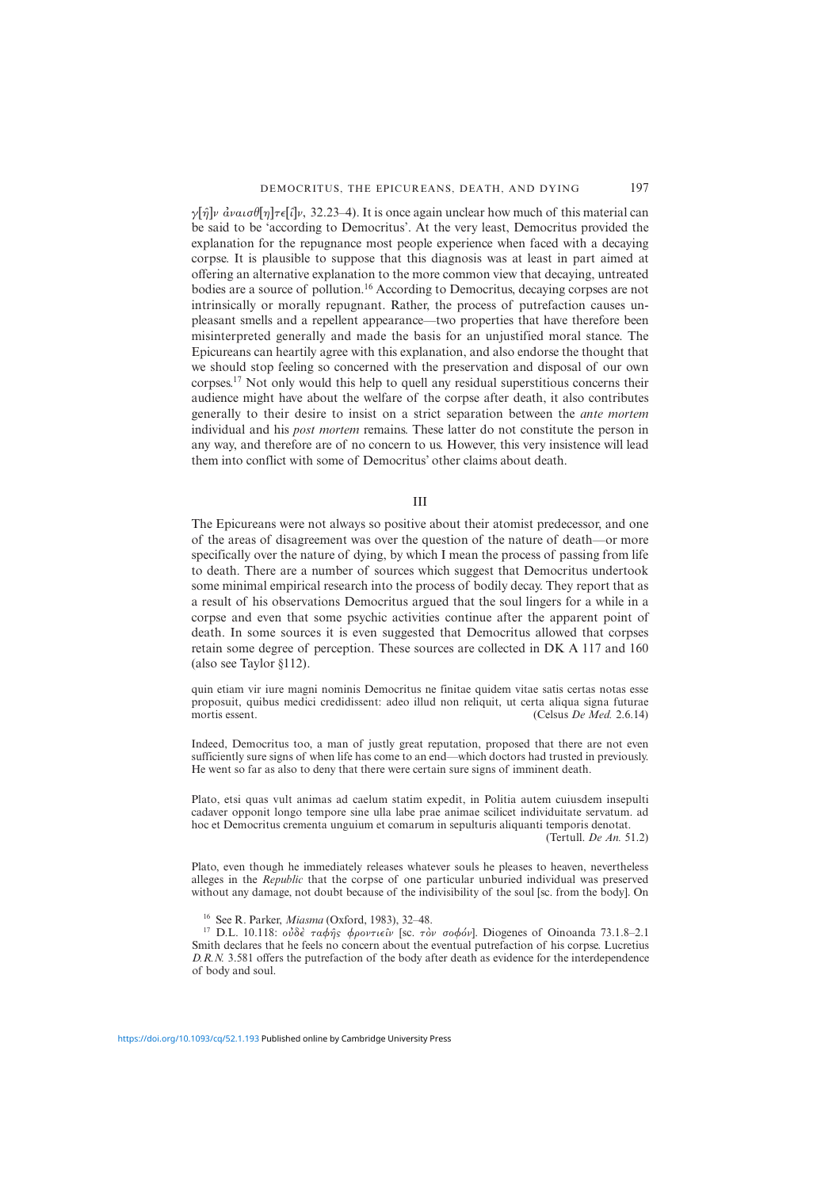$\gamma[\hat{\eta}]\nu \frac{\partial \varphi}{\partial \eta}$   $\tau[\hat{\eta}]\nu$ , 32.23–4). It is once again unclear how much of this material can be said to be 'according to Democritus'. At the very least, Democritus provided the explanation for the repugnance most people experience when faced with a decaying corpse. It is plausible to suppose that this diagnosis was at least in part aimed at offering an alternative explanation to the more common view that decaying, untreated bodies are a source of pollution.16 According to Democritus, decaying corpses are not intrinsically or morally repugnant. Rather, the process of putrefaction causes unpleasant smells and a repellent appearance—two properties that have therefore been misinterpreted generally and made the basis for an unjustified moral stance. The Epicureans can heartily agree with this explanation, and also endorse the thought that we should stop feeling so concerned with the preservation and disposal of our own corpses.17 Not only would this help to quell any residual superstitious concerns their audience might have about the welfare of the corpse after death, it also contributes generally to their desire to insist on a strict separation between the *ante mortem* individual and his *post mortem* remains. These latter do not constitute the person in any way, and therefore are of no concern to us. However, this very insistence will lead them into conflict with some of Democritus'other claims about death.

#### III

The Epicureans were not always so positive about their atomist predecessor, and one of the areas of disagreement was over the question of the nature of death—or more specifically over the nature of dying, by which I mean the process of passing from life to death. There are a number of sources which suggest that Democritus undertook some minimal empirical research into the process of bodily decay. They report that as a result of his observations Democritus argued that the soul lingers for a while in a corpse and even that some psychic activities continue after the apparent point of death. In some sources it is even suggested that Democritus allowed that corpses retain some degree of perception. These sources are collected in DK A 117 and 160 (also see Taylor §112).

quin etiam vir iure magni nominis Democritus ne finitae quidem vitae satis certas notas esse proposuit, quibus medici credidissent: adeo illud non reliquit, ut certa aliqua signa futurae mortis essent. (Celsus *De Med.* 2.6.14)

Indeed, Democritus too, a man of justly great reputation, proposed that there are not even sufficiently sure signs of when life has come to an end—which doctors had trusted in previously. He went so far as also to deny that there were certain sure signs of imminent death.

Plato, etsi quas vult animas ad caelum statim expedit, in Politia autem cuiusdem insepulti cadaver opponit longo tempore sine ulla labe prae animae scilicet individuitate servatum. ad hoc et Democritus crementa unguium et comarum in sepulturis aliquanti temporis denotat.

(Tertull. *De An.* 51.2)

Plato, even though he immediately releases whatever souls he pleases to heaven, nevertheless alleges in the *Republic* that the corpse of one particular unburied individual was preserved without any damage, not doubt because of the indivisibility of the soul [sc. from the body]. On

<sup>17</sup> D.L. 10.118: ούδε ταφής φροντιείν [sc. τον σοφόν]. Diogenes of Oinoanda 73.1.8–2.1 Smith declares that he feels no concern about the eventual putrefaction of his corpse. Lucretius *D.R.N.* 3.581 offers the putrefaction of the body after death as evidence for the interdependence of body and soul.

<sup>16</sup> See R. Parker, *Miasma* (Oxford, 1983), 32–48.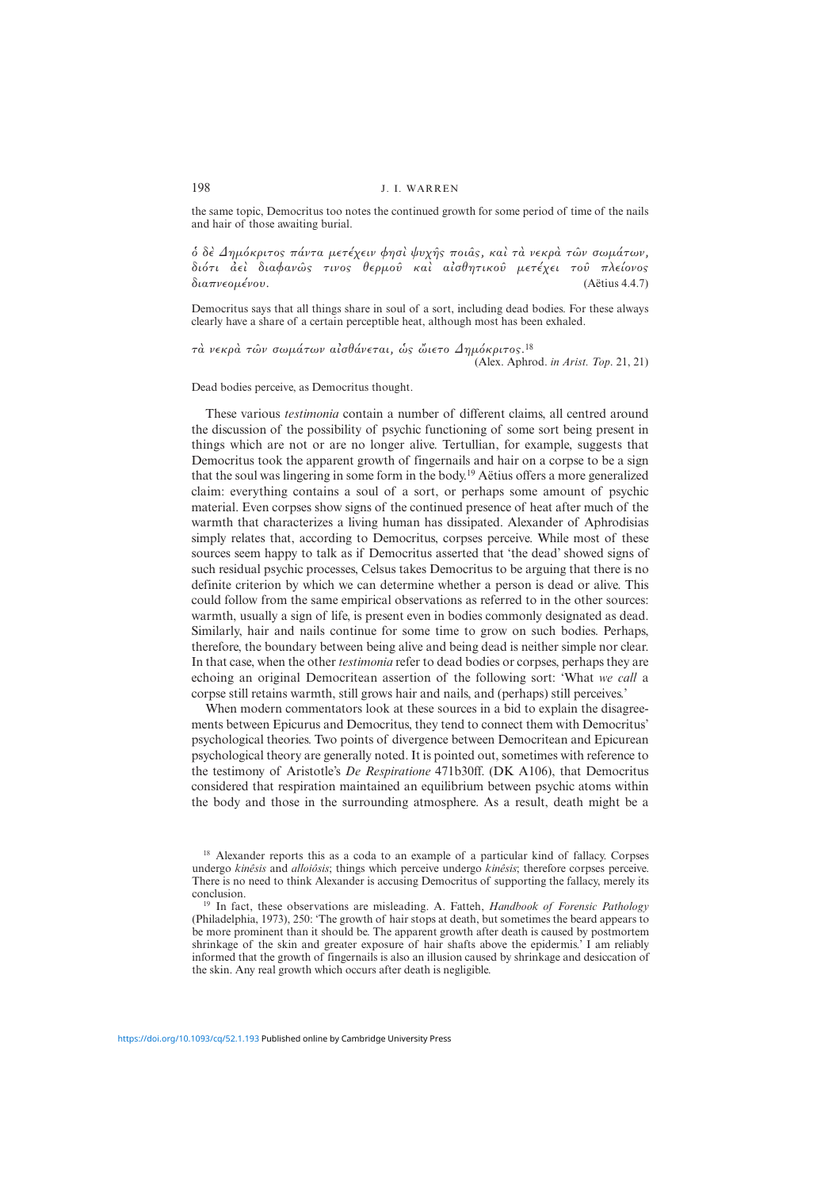the same topic, Democritus too notes the continued growth for some period of time of the nails and hair of those awaiting burial.

δ δε Δημόκριτος πάντα μετέχειν φησί ψυχής ποιάς, καί τὰ νεκρὰ τῶν σωμάτων, διότι αεί διαφανώς τινος θερμού και αισθητικού μετέχει του πλείονος  $\delta$ ιαπνεομένου. (Aëtius 4.4.7)

Democritus says that all things share in soul of a sort, including dead bodies. For these always clearly have a share of a certain perceptible heat, although most has been exhaled.

τά νεκρά τών σωμάτων αισθάνεται, ώς ὤιετο Δημόκριτος.<sup>18</sup> (Alex. Aphrod. *in Arist.Top*. 21, 21)

Dead bodies perceive, as Democritus thought.

These various *testimonia* contain a number of different claims, all centred around the discussion of the possibility of psychic functioning of some sort being present in things which are not or are no longer alive. Tertullian, for example, suggests that Democritus took the apparent growth of fingernails and hair on a corpse to be a sign that the soul was lingering in some form in the body.19 Aëtius offers a more generalized claim: everything contains a soul of a sort, or perhaps some amount of psychic material. Even corpses show signs of the continued presence of heat after much of the warmth that characterizes a living human has dissipated. Alexander of Aphrodisias simply relates that, according to Democritus, corpses perceive. While most of these sources seem happy to talk as if Democritus asserted that 'the dead' showed signs of such residual psychic processes, Celsus takes Democritus to be arguing that there is no definite criterion by which we can determine whether a person is dead or alive. This could follow from the same empirical observations as referred to in the other sources: warmth, usually a sign of life, is present even in bodies commonly designated as dead. Similarly, hair and nails continue for some time to grow on such bodies. Perhaps, therefore, the boundary between being alive and being dead is neither simple nor clear. In that case, when the other *testimonia* refer to dead bodies or corpses, perhaps they are echoing an original Democritean assertion of the following sort: 'What *we call* a corpse still retains warmth, still grows hair and nails, and (perhaps) still perceives.'

When modern commentators look at these sources in a bid to explain the disagreements between Epicurus and Democritus, they tend to connect them with Democritus' psychological theories. Two points of divergence between Democritean and Epicurean psychological theory are generally noted. It is pointed out, sometimes with reference to the testimony of Aristotle's *De Respiratione* 471b30ff. (DK A106), that Democritus considered that respiration maintained an equilibrium between psychic atoms within the body and those in the surrounding atmosphere. As a result, death might be a

<sup>18</sup> Alexander reports this as a coda to an example of a particular kind of fallacy. Corpses undergo *kinêsis* and *alloiôsis*; things which perceive undergo *kinêsis*; therefore corpses perceive. There is no need to think Alexander is accusing Democritus of supporting the fallacy, merely its conclusion.

<sup>19</sup> In fact, these observations are misleading. A. Fatteh, *Handbook of Forensic Pathology* (Philadelphia, 1973), 250: 'The growth of hair stops at death, but sometimes the beard appears to be more prominent than it should be. The apparent growth after death is caused by postmortem shrinkage of the skin and greater exposure of hair shafts above the epidermis.'I am reliably informed that the growth of fingernails is also an illusion caused by shrinkage and desiccation of the skin. Any real growth which occurs after death is negligible.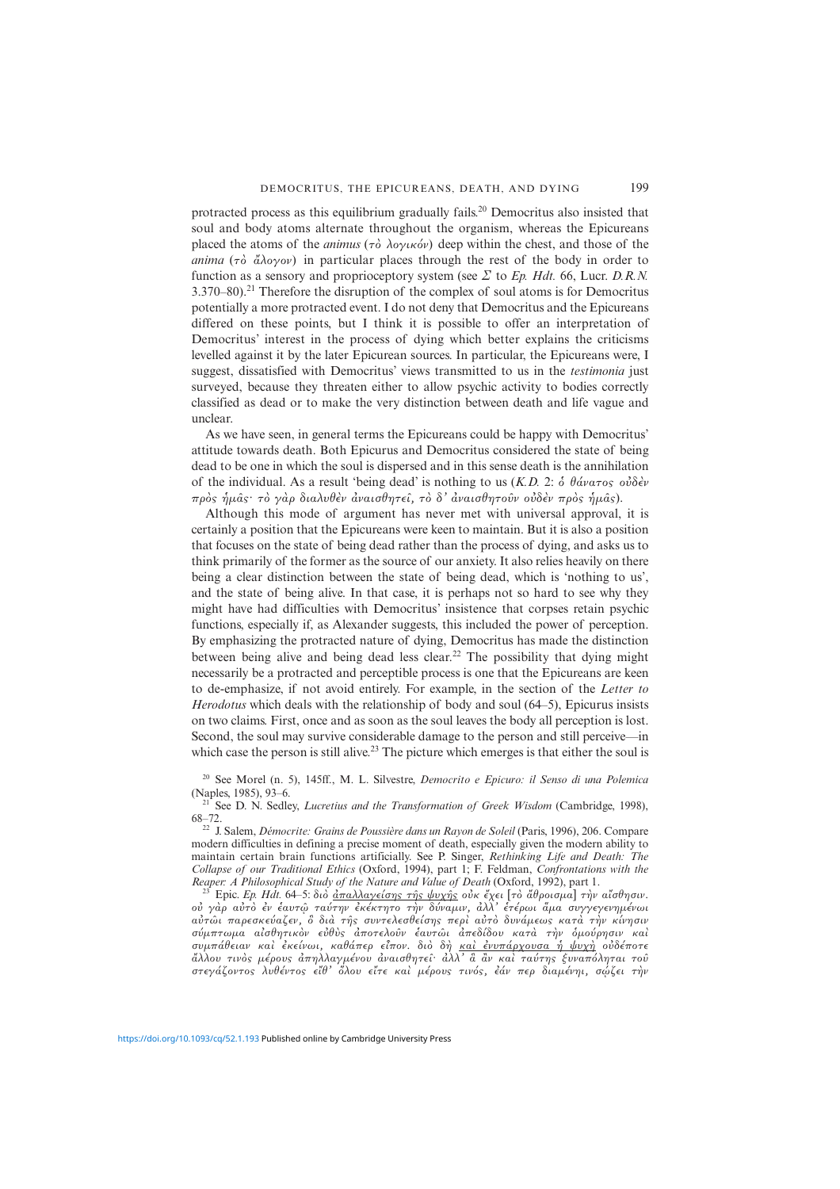protracted process as this equilibrium gradually fails.<sup>20</sup> Democritus also insisted that soul and body atoms alternate throughout the organism, whereas the Epicureans placed the atoms of the *animus* (τὸ λογικόν) deep within the chest, and those of the *anima* (τὸ ἄλογον) in particular places through the rest of the body in order to function as a sensory and proprioceptory system (see  $\Sigma$  to *Ep. Hdt.* 66, Lucr. *D.R.N.* 3.370–80).21 Therefore the disruption of the complex of soul atoms is for Democritus potentially a more protracted event. I do not deny that Democritus and the Epicureans differed on these points, but I think it is possible to offer an interpretation of Democritus' interest in the process of dying which better explains the criticisms levelled against it by the later Epicurean sources. In particular, the Epicureans were, I suggest, dissatisfied with Democritus'views transmitted to us in the *testimonia* just surveyed, because they threaten either to allow psychic activity to bodies correctly classified as dead or to make the very distinction between death and life vague and unclear.

As we have seen, in general terms the Epicureans could be happy with Democritus' attitude towards death. Both Epicurus and Democritus considered the state of being dead to be one in which the soul is dispersed and in this sense death is the annihilation of the individual. As a result 'being dead' is nothing to us  $(K, D, 2; \delta \theta \hat{\alpha} \hat{\alpha} \hat{\alpha}) \hat{\delta} \hat{\epsilon} \hat{\gamma}$ πρός ήμας· τό γάρ διαλυθέν αναισθητεί, τό δ' αναισθητούν ουδέν πρός ήμας).

Although this mode of argument has never met with universal approval, it is certainly a position that the Epicureans were keen to maintain. But it is also a position that focuses on the state of being dead rather than the process of dying, and asks us to think primarily of the former as the source of our anxiety. It also relies heavily on there being a clear distinction between the state of being dead, which is 'nothing to us', and the state of being alive. In that case, it is perhaps not so hard to see why they might have had difficulties with Democritus'insistence that corpses retain psychic functions, especially if, as Alexander suggests, this included the power of perception. By emphasizing the protracted nature of dying, Democritus has made the distinction between being alive and being dead less clear.<sup>22</sup> The possibility that dying might necessarily be a protracted and perceptible process is one that the Epicureans are keen to de-emphasize, if not avoid entirely. For example, in the section of the *Letter to Herodotus* which deals with the relationship of body and soul (64–5), Epicurus insists on two claims. First, once and as soon as the soul leaves the body all perception is lost. Second, the soul may survive considerable damage to the person and still perceive—in which case the person is still alive.<sup>23</sup> The picture which emerges is that either the soul is

<sup>20</sup> See Morel (n. 5), 145ff., M. L. Silvestre, *Democrito e Epicuro: il Senso di una Polemica* (Naples, 1985), 93–6.

<sup>21</sup> See D. N. Sedley, *Lucretius and the Transformation of Greek Wisdom* (Cambridge, 1998), 68–72.

<sup>22</sup> J. Salem, *Démocrite: Grains de Poussière dans un Rayon de Soleil* (Paris, 1996), 206. Compare modern difficulties in defining a precise moment of death, especially given the modern ability to maintain certain brain functions artificially. See P. Singer, *Rethinking Life and Death: The Collapse of our Traditional Ethics* (Oxford, 1994), part 1; F. Feldman, *Confrontations with the Reaper: A Philosophical Study of the Nature and Value of Death* (Oxford, 1992), part 1.

<sup>23</sup> Epic. *Ep. Hdt.* 64–5: διὸ <u>ἀπαλλαγείσης τῆς ψυχῆς</u> οὐκ ἔχει [τὸ ἄθροισμα] τὴν αἴσθησιν. οὐ γὰρ αὐτὸ ἐν ἑαυτῷ ταύτην ἐκέκτητο τὴν δύναμιν, ἀλλ' ἑτέρωι ἅμα συγγεγενημένωι αυτώι παρεσκεύαζεν, δ διά της συντελεσθείσης περί αύτο δυνάμεως κατά την κίνησιν σύμπτωμα αίσθητικὸν εὐθὺς ἀποτελοῦν έαυτῶι ἀπεδίδου κατὰ τὴν ὁμούρησιν καὶ συμπάθειαν και έκείνωι, καθάπερ είπον. διο δή <u>και ένυπάρχουσα ή ψυχη</u> ούδέποτε άλλου τινός μέρους απηλλαγμένου αναισθητεί· αλλ' α αν και ταύτης ξυναπόληται του στεγάζοντος λυθέντος εἴθ' ὅλου εἴτε καὶ μέρους τινός, ἐάν περ διαμένηι, σώζει τὴν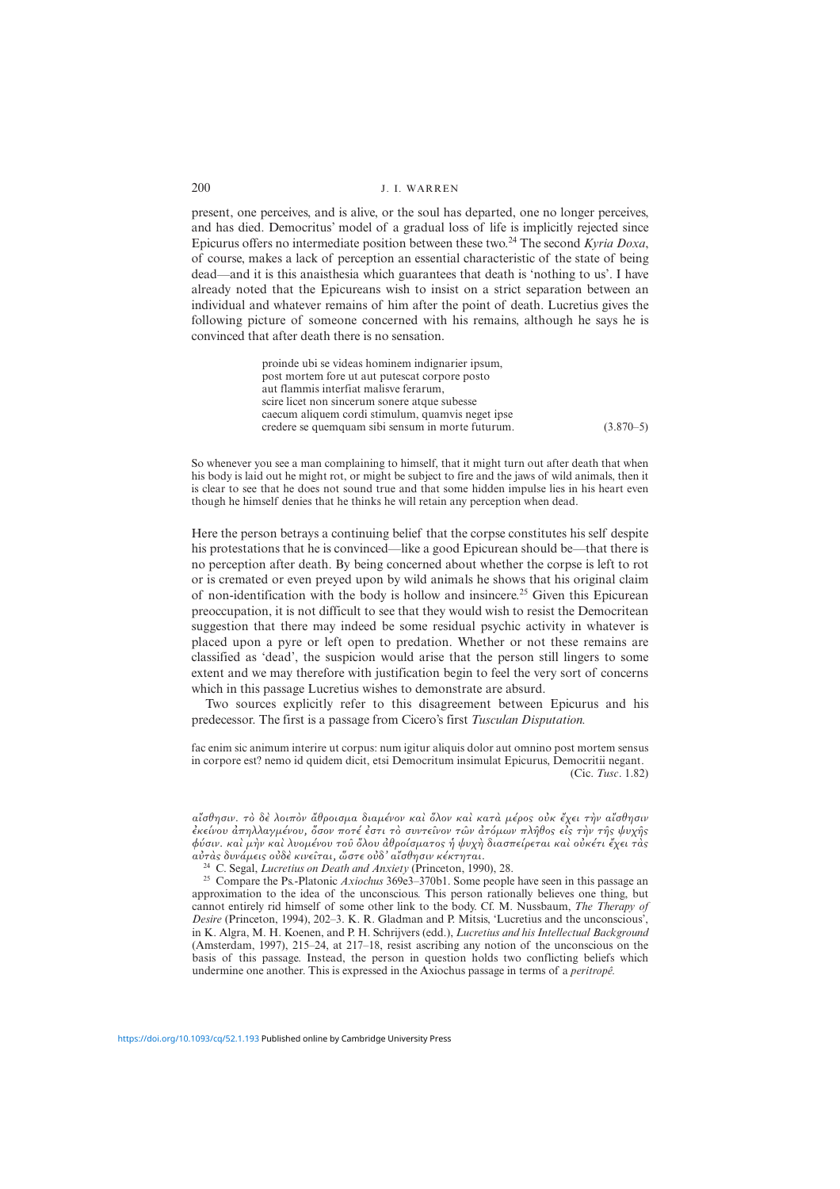### 200 J. I. WARREN

present, one perceives, and is alive, or the soul has departed, one no longer perceives, and has died. Democritus'model of a gradual loss of life is implicitly rejected since Epicurus offers no intermediate position between these two.24 The second *Kyria Doxa*, of course, makes a lack of perception an essential characteristic of the state of being dead—and it is this anaisthesia which guarantees that death is 'nothing to us'. I have already noted that the Epicureans wish to insist on a strict separation between an individual and whatever remains of him after the point of death. Lucretius gives the following picture of someone concerned with his remains, although he says he is convinced that after death there is no sensation.

> proinde ubi se videas hominem indignarier ipsum, post mortem fore ut aut putescat corpore posto aut flammis interfiat malisve ferarum, scire licet non sincerum sonere atque subesse caecum aliquem cordi stimulum, quamvis neget ipse credere se quemquam sibi sensum in morte futurum. (3.870–5)

So whenever you see a man complaining to himself, that it might turn out after death that when his body is laid out he might rot, or might be subject to fire and the jaws of wild animals, then it is clear to see that he does not sound true and that some hidden impulse lies in his heart even though he himself denies that he thinks he will retain any perception when dead.

Here the person betrays a continuing belief that the corpse constitutes his self despite his protestations that he is convinced—like a good Epicurean should be—that there is no perception after death. By being concerned about whether the corpse is left to rot or is cremated or even preyed upon by wild animals he shows that his original claim of non-identification with the body is hollow and insincere.25 Given this Epicurean preoccupation, it is not difficult to see that they would wish to resist the Democritean suggestion that there may indeed be some residual psychic activity in whatever is placed upon a pyre or left open to predation. Whether or not these remains are classified as 'dead', the suspicion would arise that the person still lingers to some extent and we may therefore with justification begin to feel the very sort of concerns which in this passage Lucretius wishes to demonstrate are absurd.

Two sources explicitly refer to this disagreement between Epicurus and his predecessor. The first is a passage from Cicero's first *Tusculan Disputation.*

fac enim sic animum interire ut corpus: num igitur aliquis dolor aut omnino post mortem sensus in corpore est? nemo id quidem dicit, etsi Democritum insimulat Epicurus, Democritii negant. (Cic. *Tusc*. 1.82)

αἴσθησιν. τὸ δὲ λοιπὸν ἄθροισμα διαμένον καὶ ὅλον καὶ κατὰ μέρος οὐκ ἔχει τὴν αἴσθησιν εκείνου ἀπηλλαγμένου, ὅσον ποτέ εστι τὸ συντεῖνον τῶν ἀτόμων πλῆθος εἶς τὴν τῆς ψυχῆς φύσιν. καὶ μὴν καὶ λυομένου τοῦ ὅλου ἀθροίσματος ἡ ψυχὴ διασπείρεται καὶ οὐκέτι ἔχει τὰς<br>αὐτὰς δυνάμεις οὐδὲ κινεῖται, ὥστε οὐδ' αἴσθησιν κέκτηται.

<sup>24</sup> C. Segal, *Lucretius on Death and Anxiety* (Princeton, 1990), 28.

<sup>25</sup> Compare the Ps.-Platonic *Axiochus* 369e3–370b1. Some people have seen in this passage an approximation to the idea of the unconscious. This person rationally believes one thing, but cannot entirely rid himself of some other link to the body. Cf. M. Nussbaum, *The Therapy of Desire* (Princeton, 1994), 202–3. K. R. Gladman and P. Mitsis, 'Lucretius and the unconscious', in K. Algra, M. H. Koenen, and P. H. Schrijvers (edd.), *Lucretius and his Intellectual Background* (Amsterdam, 1997), 215–24, at 217–18, resist ascribing any notion of the unconscious on the basis of this passage. Instead, the person in question holds two conflicting beliefs which undermine one another. This is expressed in the Axiochus passage in terms of a *peritropê.*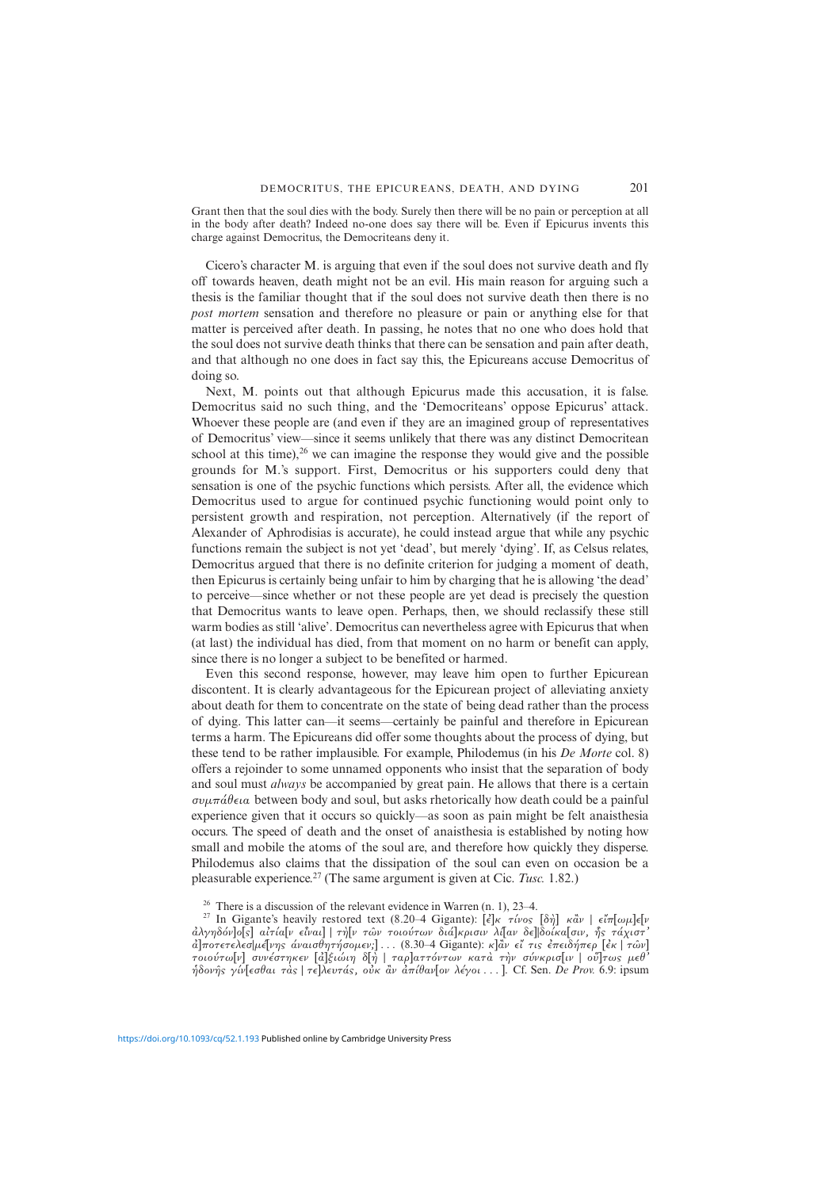Grant then that the soul dies with the body. Surely then there will be no pain or perception at all in the body after death? Indeed no-one does say there will be. Even if Epicurus invents this charge against Democritus, the Democriteans deny it.

Cicero's character M. is arguing that even if the soul does not survive death and fly off towards heaven, death might not be an evil. His main reason for arguing such a thesis is the familiar thought that if the soul does not survive death then there is no *post mortem* sensation and therefore no pleasure or pain or anything else for that matter is perceived after death. In passing, he notes that no one who does hold that the soul does not survive death thinks that there can be sensation and pain after death, and that although no one does in fact say this, the Epicureans accuse Democritus of doing so.

Next, M. points out that although Epicurus made this accusation, it is false. Democritus said no such thing, and the 'Democriteans'oppose Epicurus'attack. Whoever these people are (and even if they are an imagined group of representatives of Democritus'view—since it seems unlikely that there was any distinct Democritean school at this time),  $26$  we can imagine the response they would give and the possible grounds for M.'s support. First, Democritus or his supporters could deny that sensation is one of the psychic functions which persists. After all, the evidence which Democritus used to argue for continued psychic functioning would point only to persistent growth and respiration, not perception. Alternatively (if the report of Alexander of Aphrodisias is accurate), he could instead argue that while any psychic functions remain the subject is not yet 'dead', but merely 'dying'. If, as Celsus relates, Democritus argued that there is no definite criterion for judging a moment of death, then Epicurus is certainly being unfair to him by charging that he is allowing 'the dead' to perceive—since whether or not these people are yet dead is precisely the question that Democritus wants to leave open. Perhaps, then, we should reclassify these still warm bodies as still 'alive'. Democritus can nevertheless agree with Epicurus that when (at last) the individual has died, from that moment on no harm or benefit can apply, since there is no longer a subject to be benefited or harmed.

Even this second response, however, may leave him open to further Epicurean discontent. It is clearly advantageous for the Epicurean project of alleviating anxiety about death for them to concentrate on the state of being dead rather than the process of dying. This latter can—it seems—certainly be painful and therefore in Epicurean terms a harm. The Epicureans did offer some thoughts about the process of dying, but these tend to be rather implausible. For example, Philodemus (in his *De Morte* col. 8) offers a rejoinder to some unnamed opponents who insist that the separation of body and soul must *always* be accompanied by great pain. He allows that there is a certain  $\sigma \nu \mu \pi \hat{\alpha} \theta \epsilon \hat{\alpha}$  between body and soul, but asks rhetorically how death could be a painful experience given that it occurs so quickly—as soon as pain might be felt anaisthesia occurs. The speed of death and the onset of anaisthesia is established by noting how small and mobile the atoms of the soul are, and therefore how quickly they disperse. Philodemus also claims that the dissipation of the soul can even on occasion be a pleasurable experience.27 (The same argument is given at Cic. *Tusc.* 1.82.)

<sup>&</sup>lt;sup>26</sup> There is a discussion of the relevant evidence in Warren  $(n, 1)$ , 23–4.

<sup>&</sup>lt;sup>27</sup> In Gigante's heavily restored text (8.20–4 Gigante): [ε]κ τίνος [δη] κἂν | εἴπ[ωμ]ε[ν άλγηδόν]ο[ς] αἰτία[ν εἶναι] | τὴ[ν τῶν τοιούτων διά]κρισιν λί[αν δε]|δοίκα[σιν, ἧς τάχιστ΄  $d$ ]ποτετελεσ $\mu$ έ $\lbrack\nu\eta s\not\omega a\sigma\theta\eta\tau\eta\sigma o\mu\epsilon\nu;\rbrack$ ... (8.30–4 Gigante): κ] $\ddot{a}\nu$  εί τις επειδήπερ  $\lbrack\dot{\epsilon}\kappa\mid\tau\hat{\omega}\nu\rbrack$ τοιούτω $[\nu]$  συνέστηκεν  $[\check{a}]$ ξιώιη δ $[\grave{\eta}$  | ταρ $]$ αττόντων κατ $\grave{a}$  τὴν σύνκρισ $[\![v\!]$  ού $]$ τως με $\theta$  $\hat{\eta}$ δονής γίν[εσθαι τὰς | τε]λευτάς, οὐκ ἂν ἀπίθαν[ον λέγοι...]. Cf. Sen. *De Prov.* 6.9: ipsum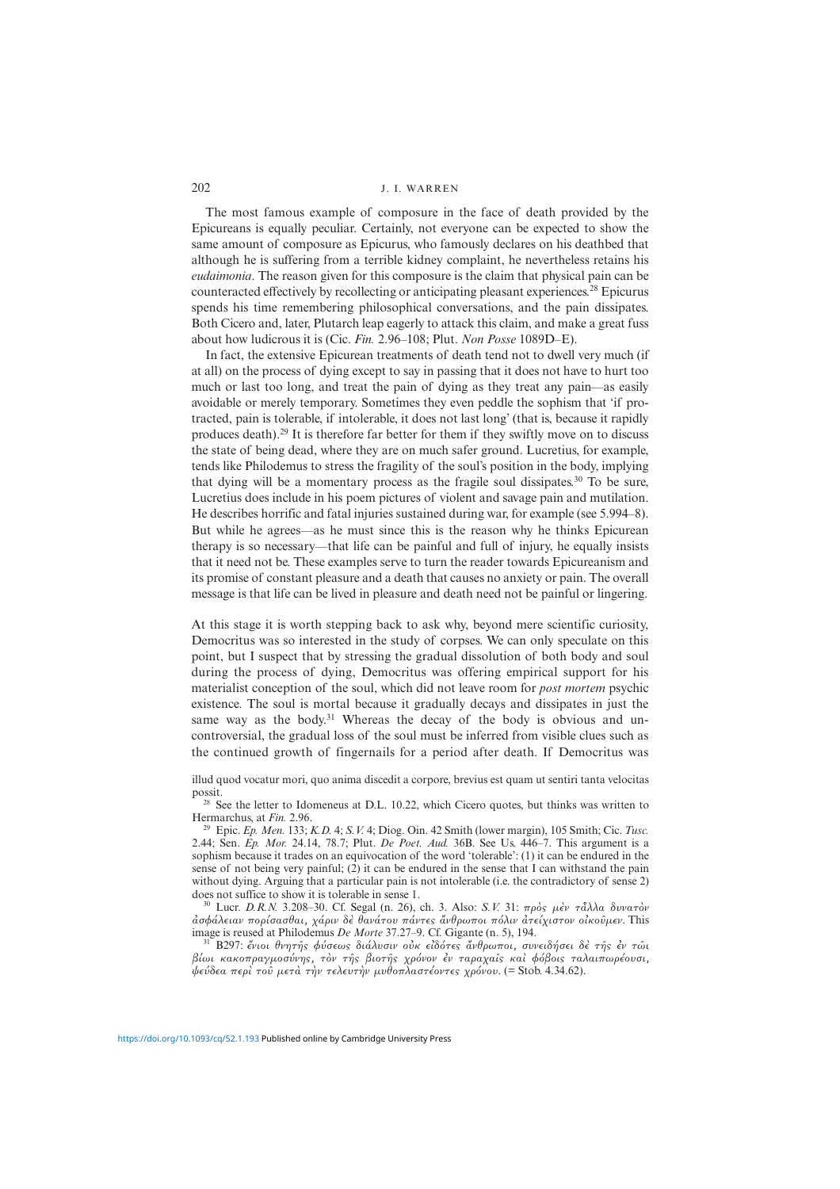#### 202 J. I. WARREN

The most famous example of composure in the face of death provided by the Epicureans is equally peculiar. Certainly, not everyone can be expected to show the same amount of composure as Epicurus, who famously declares on his deathbed that although he is suffering from a terrible kidney complaint, he nevertheless retains his *eudaimonia*. The reason given for this composure is the claim that physical pain can be counteracted effectively by recollecting or anticipating pleasant experiences.28 Epicurus spends his time remembering philosophical conversations, and the pain dissipates. Both Cicero and, later, Plutarch leap eagerly to attack this claim, and make a great fuss about how ludicrous it is (Cic. *Fin.* 2.96–108; Plut. *Non Posse* 1089D–E).

In fact, the extensive Epicurean treatments of death tend not to dwell very much (if at all) on the process of dying except to say in passing that it does not have to hurt too much or last too long, and treat the pain of dying as they treat any pain—as easily avoidable or merely temporary. Sometimes they even peddle the sophism that 'if protracted, pain is tolerable, if intolerable, it does not last long'(that is, because it rapidly produces death).29 It is therefore far better for them if they swiftly move on to discuss the state of being dead, where they are on much safer ground. Lucretius, for example, tends like Philodemus to stress the fragility of the soul's position in the body, implying that dying will be a momentary process as the fragile soul dissipates.30 To be sure, Lucretius does include in his poem pictures of violent and savage pain and mutilation. He describes horrific and fatal injuries sustained during war, for example (see 5.994–8). But while he agrees—as he must since this is the reason why he thinks Epicurean therapy is so necessary—that life can be painful and full of injury, he equally insists that it need not be. These examples serve to turn the reader towards Epicureanism and its promise of constant pleasure and a death that causes no anxiety or pain. The overall message is that life can be lived in pleasure and death need not be painful or lingering.

At this stage it is worth stepping back to ask why, beyond mere scientific curiosity, Democritus was so interested in the study of corpses. We can only speculate on this point, but I suspect that by stressing the gradual dissolution of both body and soul during the process of dying, Democritus was offering empirical support for his materialist conception of the soul, which did not leave room for *post mortem* psychic existence. The soul is mortal because it gradually decays and dissipates in just the same way as the body.<sup>31</sup> Whereas the decay of the body is obvious and uncontroversial, the gradual loss of the soul must be inferred from visible clues such as the continued growth of fingernails for a period after death. If Democritus was

illud quod vocatur mori, quo anima discedit a corpore, brevius est quam ut sentiri tanta velocitas possit.

 $28$  See the letter to Idomeneus at D.L. 10.22, which Cicero quotes, but thinks was written to Hermarchus, at *Fin.* 2.96.

<sup>29</sup> Epic. *Ep.Men.* 133; *K.D.* 4; *S.V.* 4; Diog. Oin. 42 Smith (lower margin), 105 Smith; Cic. *Tusc.* 2.44; Sen. *Ep.Mor.* 24.14, 78.7; Plut. *De Poet.Aud.* 36B. See Us. 446–7. This argument is a sophism because it trades on an equivocation of the word 'tolerable': (1) it can be endured in the sense of not being very painful; (2) it can be endured in the sense that I can withstand the pain without dying. Arguing that a particular pain is not intolerable (i.e. the contradictory of sense 2) does not suffice to show it is tolerable in sense 1.

<sup>30</sup> Lucr. *D.R.N.* 3.208–30. Cf. Segal (n. 26), ch. 3. Also: *S.V.* 31: πρὸς μὲν τἆλλα δυνατὸν ασφάλειαν πορίσασθαι, χάριν δε θανάτου πάντες άνθρωποι πόλιν ατείχιστον οικούμεν. This image is reused at Philodemus *De Morte* 37.27–9. Cf. Gigante (n. 5), 194.

 $^{31}$  B297: ένιοι θνητής φύσεως διάλυσιν ούκ είδότες άνθρωποι, συνειδήσει δε τής εν τωι βίωι κακοπραγμοσύνης, τον της βιοτής χρόνον έν ταραχαίς και φόβοις ταλαιπωρέουσι, .<br>ψεύδεα περί τοῦ μετὰ τὴν τελευτὴν μυθοπλαστέοντες χρόνου. (= Stob. 4.34.62).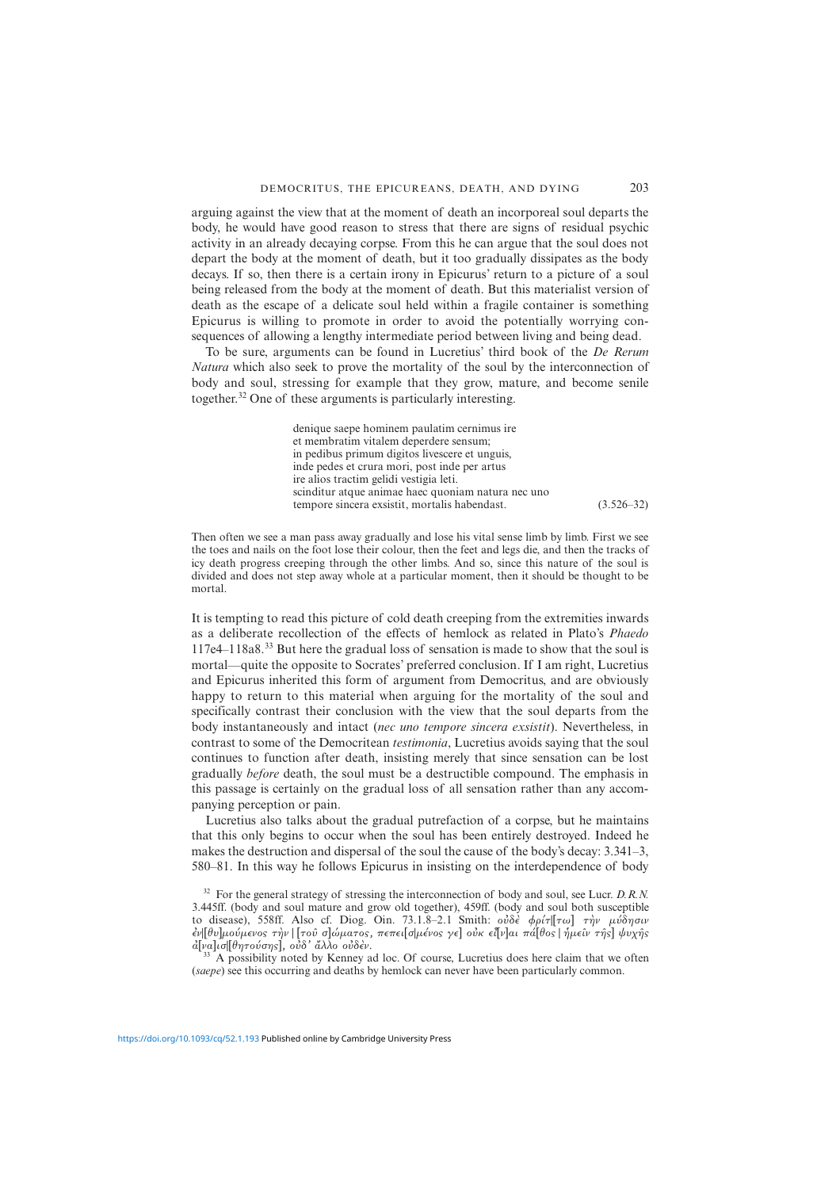arguing against the view that at the moment of death an incorporeal soul departs the body, he would have good reason to stress that there are signs of residual psychic activity in an already decaying corpse. From this he can argue that the soul does not depart the body at the moment of death, but it too gradually dissipates as the body decays. If so, then there is a certain irony in Epicurus'return to a picture of a soul being released from the body at the moment of death. But this materialist version of death as the escape of a delicate soul held within a fragile container is something Epicurus is willing to promote in order to avoid the potentially worrying consequences of allowing a lengthy intermediate period between living and being dead.

To be sure, arguments can be found in Lucretius'third book of the *De Rerum Natura* which also seek to prove the mortality of the soul by the interconnection of body and soul, stressing for example that they grow, mature, and become senile together.32 One of these arguments is particularly interesting.

> denique saepe hominem paulatim cernimus ire et membratim vitalem deperdere sensum; in pedibus primum digitos livescere et unguis, inde pedes et crura mori, post inde per artus ire alios tractim gelidi vestigia leti. scinditur atque animae haec quoniam natura nec uno tempore sincera exsistit, mortalis habendast. (3.526–32)

Then often we see a man pass away gradually and lose his vital sense limb by limb. First we see the toes and nails on the foot lose their colour, then the feet and legs die, and then the tracks of icy death progress creeping through the other limbs. And so, since this nature of the soul is divided and does not step away whole at a particular moment, then it should be thought to be mortal.

It is tempting to read this picture of cold death creeping from the extremities inwards as a deliberate recollection of the effects of hemlock as related in Plato's *Phaedo* 117e4–118a8.33 But here the gradual loss of sensation is made to show that the soul is mortal—quite the opposite to Socrates'preferred conclusion. If I am right, Lucretius and Epicurus inherited this form of argument from Democritus, and are obviously happy to return to this material when arguing for the mortality of the soul and specifically contrast their conclusion with the view that the soul departs from the body instantaneously and intact (*nec uno tempore sincera exsistit*). Nevertheless, in contrast to some of the Democritean *testimonia*, Lucretius avoids saying that the soul continues to function after death, insisting merely that since sensation can be lost gradually *before* death, the soul must be a destructible compound. The emphasis in this passage is certainly on the gradual loss of all sensation rather than any accompanying perception or pain.

Lucretius also talks about the gradual putrefaction of a corpse, but he maintains that this only begins to occur when the soul has been entirely destroyed. Indeed he makes the destruction and dispersal of the soul the cause of the body's decay: 3.341–3, 580–81. In this way he follows Epicurus in insisting on the interdependence of body

<sup>&</sup>lt;sup>32</sup> For the general strategy of stressing the interconnection of body and soul, see Lucr. *D.R.N.* 3.445ff. (body and soul mature and grow old together), 459ff. (body and soul both susceptible to disease), 558ff. Also cf. Diog. Oin. 73.1.8–2.1 Smith:  $\partial \delta \delta \dot{\epsilon}$  φρίτ $|\tau \omega|$  την μύδησιν ἐν|[θυ]μούμενος τὴν | [τοῦ σ]ώματος, πεπει[σ|μένος γε] οὐκ εἶ[ν]αι πά[θος | ἡμεῖν τῆς] ψυχῆς  $d\hat{v}a\hat{u}[0]\theta\eta\tau\omega\omega\sigma\eta s]$ ,  $\omega\delta\delta' \hat{\alpha}\lambda\lambda\omega \omega\delta\delta\omega$ .<br><sup>33</sup> A possibility noted by Kenney ad loc. Of course, Lucretius does here claim that we often

<sup>(</sup>*saepe*) see this occurring and deaths by hemlock can never have been particularly common.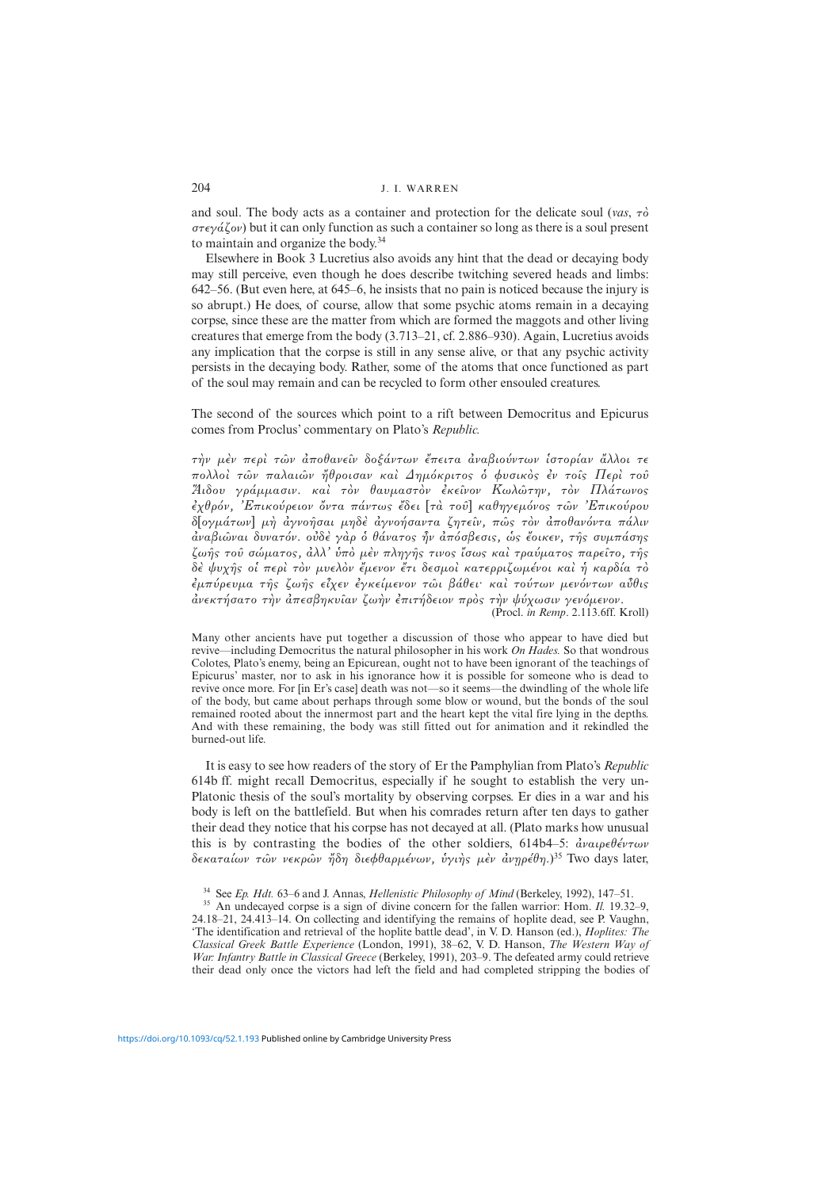and soul. The body acts as a container and protection for the delicate soul (*vas*,  $\tau$ )  $\sigma \tau \epsilon \gamma a \zeta \omega$ ) but it can only function as such a container so long as there is a soul present to maintain and organize the body.34

Elsewhere in Book 3 Lucretius also avoids any hint that the dead or decaying body may still perceive, even though he does describe twitching severed heads and limbs: 642–56. (But even here, at 645–6, he insists that no pain is noticed because the injury is so abrupt.) He does, of course, allow that some psychic atoms remain in a decaying corpse, since these are the matter from which are formed the maggots and other living creatures that emerge from the body (3.713–21, cf. 2.886–930). Again, Lucretius avoids any implication that the corpse is still in any sense alive, or that any psychic activity persists in the decaying body. Rather, some of the atoms that once functioned as part of the soul may remain and can be recycled to form other ensouled creatures.

The second of the sources which point to a rift between Democritus and Epicurus comes from Proclus'commentary on Plato's *Republic.*

τὴν μὲν περὶ τῶν ἀποθανεῖν δοξάντων ἔπειτα ἀναβιούντων ἱστορίαν ἄλλοι τε πολλοί τῶν παλαιῶν ἤθροισαν καὶ Δημόκριτος ὁ φυσικὸς ἐν τοῖς Περὶ τοῦ  $A$ ιδου γράμμασιν, καί τον θαυμαστον έκείνον Κωλώτην, τον Πλάτωνος εχθρόν, Επικούρειον όντα πάντως έδει [τα τού] καθηγεμόνος τῶν Επικούρου δ[ογμάτων] μή αγνοήσαι μηδέ αγνοήσαντα ζητεῖν, πῶς τὸν αποθανόντα πάλιν αναβιώναι δυνατόν. ούδε γάρ ο θάνατος ήν απόσβεσις, ως έοικεν, της συμπάσης ζωής τοῦ σώματος, ἀλλ' ὑπὸ μὲν πληγής τινος ἴσως καὶ τραύματος παρεῖτο, τῆς δε ψυχής οι περί τον μυελον έμενον έτι δεσμοί κατερριζωμένοι και ή καρδία το έμπύρευμα τῆς ζωῆς εἶχεν ἐγκείμενον τῶι βάθει· καὶ τούτων μενόντων αὖθις ανεκτήσατο την απεσβηκυίαν ζωήν επιτήδειον πρός την ψύχωσιν γενόμενον. (Procl. *in Remp*. 2.113.6ff. Kroll)

Many other ancients have put together a discussion of those who appear to have died but revive—including Democritus the natural philosopher in his work *On Hades.* So that wondrous Colotes, Plato's enemy, being an Epicurean, ought not to have been ignorant of the teachings of Epicurus'master, nor to ask in his ignorance how it is possible for someone who is dead to revive once more. For [in Er's case] death was not—so it seems—the dwindling of the whole life of the body, but came about perhaps through some blow or wound, but the bonds of the soul remained rooted about the innermost part and the heart kept the vital fire lying in the depths. And with these remaining, the body was still fitted out for animation and it rekindled the burned-out life.

It is easy to see how readers of the story of Er the Pamphylian from Plato's *Republic* 614b ff. might recall Democritus, especially if he sought to establish the very un-Platonic thesis of the soul's mortality by observing corpses. Er dies in a war and his body is left on the battlefield. But when his comrades return after ten days to gather their dead they notice that his corpse has not decayed at all. (Plato marks how unusual this is by contrasting the bodies of the other soldiers, 614b4–5:  $\frac{\partial u}{\partial \theta} \frac{\partial u}{\partial \theta} \frac{\partial u}{\partial \theta}$ δεκαταίων τών νεκρών ήδη διεφθαρμένων, ύγιης μεν ανηρέθη.)<sup>35</sup> Two days later,

<sup>34</sup> See *Ep. Hdt.* 63–6 and J. Annas, *Hellenistic Philosophy of Mind* (Berkeley, 1992), 147–51.

<sup>35</sup> An undecayed corpse is a sign of divine concern for the fallen warrior: Hom. *Il.* 19.32–9, 24.18–21, 24.413–14. On collecting and identifying the remains of hoplite dead, see P. Vaughn, 'The identification and retrieval of the hoplite battle dead', in V. D. Hanson (ed.), *Hoplites: The Classical Greek Battle Experience* (London, 1991), 38–62, V. D. Hanson, *The Western Way of War: Infantry Battle in Classical Greece* (Berkeley, 1991), 203–9. The defeated army could retrieve their dead only once the victors had left the field and had completed stripping the bodies of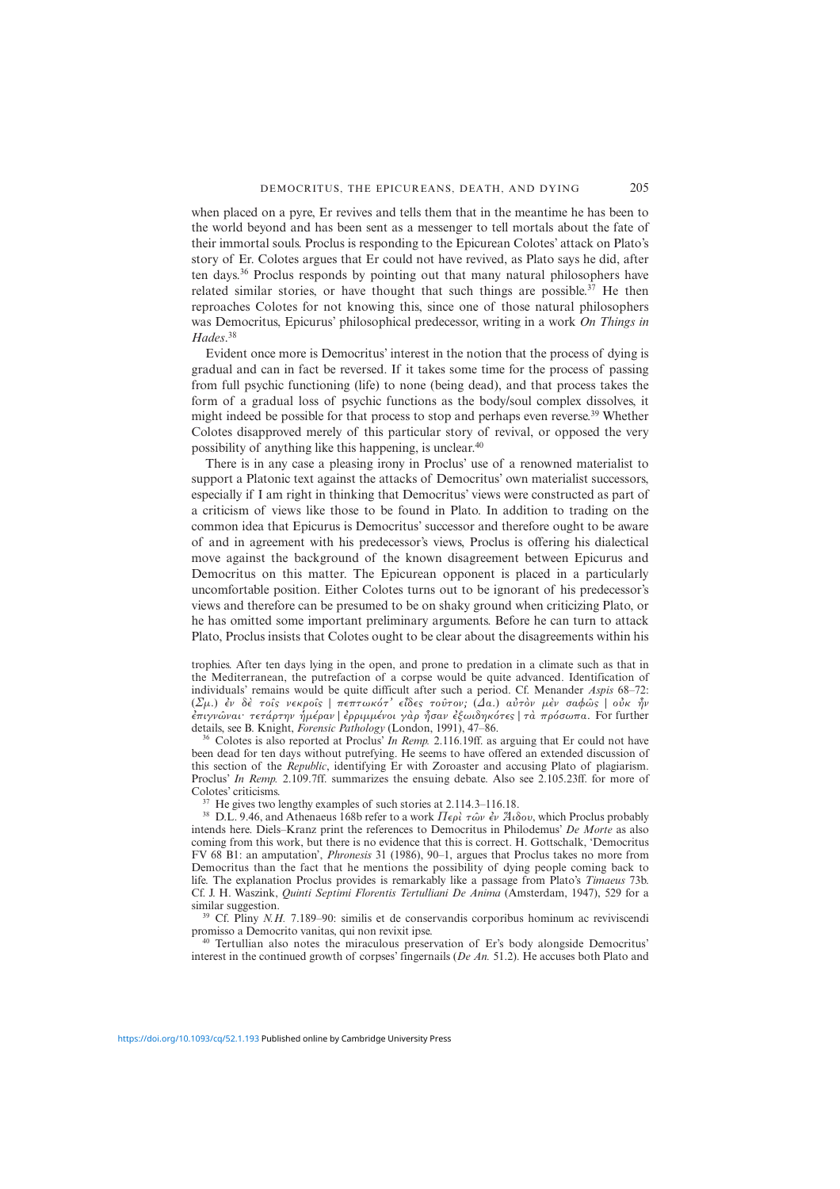when placed on a pyre, Er revives and tells them that in the meantime he has been to the world beyond and has been sent as a messenger to tell mortals about the fate of their immortal souls. Proclus is responding to the Epicurean Colotes'attack on Plato's story of Er. Colotes argues that Er could not have revived, as Plato says he did, after ten days.36 Proclus responds by pointing out that many natural philosophers have related similar stories, or have thought that such things are possible.<sup>37</sup> He then reproaches Colotes for not knowing this, since one of those natural philosophers was Democritus, Epicurus' philosophical predecessor, writing in a work *On Things in Hades*. 38

Evident once more is Democritus'interest in the notion that the process of dying is gradual and can in fact be reversed. If it takes some time for the process of passing from full psychic functioning (life) to none (being dead), and that process takes the form of a gradual loss of psychic functions as the body/soul complex dissolves, it might indeed be possible for that process to stop and perhaps even reverse.39 Whether Colotes disapproved merely of this particular story of revival, or opposed the very possibility of anything like this happening, is unclear.40

There is in any case a pleasing irony in Proclus'use of a renowned materialist to support a Platonic text against the attacks of Democritus'own materialist successors, especially if I am right in thinking that Democritus'views were constructed as part of a criticism of views like those to be found in Plato. In addition to trading on the common idea that Epicurus is Democritus'successor and therefore ought to be aware of and in agreement with his predecessor's views, Proclus is offering his dialectical move against the background of the known disagreement between Epicurus and Democritus on this matter. The Epicurean opponent is placed in a particularly uncomfortable position. Either Colotes turns out to be ignorant of his predecessor's views and therefore can be presumed to be on shaky ground when criticizing Plato, or he has omitted some important preliminary arguments. Before he can turn to attack Plato, Proclus insists that Colotes ought to be clear about the disagreements within his

trophies. After ten days lying in the open, and prone to predation in a climate such as that in the Mediterranean, the putrefaction of a corpse would be quite advanced. Identification of individuals'remains would be quite difficult after such a period. Cf. Menander *Aspis* 68–72: (Σμ.) ἐν δὲ τοῖς νεκροῖς | πεπτωκότ' εἶδες τοῦτον; (Δα.) αὐτὸν μὲν σαφῶς | οὐκ ἦι  $\epsilon\pi$ ιγνώναι· τετάρτην ήμέραν | ερριμμένοι γαρ ήσαν εξωιδηκότες | τα πρόσωπα. For further details, see B. Knight, *Forensic Pathology* (London, 1991), 47–86.

<sup>36</sup> Colotes is also reported at Proclus' *In Remp.* 2.116.19ff. as arguing that Er could not have been dead for ten days without putrefying. He seems to have offered an extended discussion of this section of the *Republic*, identifying Er with Zoroaster and accusing Plato of plagiarism. Proclus' *In Remp.* 2.109.7ff. summarizes the ensuing debate. Also see 2.105.23ff. for more of Colotes'criticisms.

<sup>37</sup> He gives two lengthy examples of such stories at 2.114.3–116.18.

<sup>38</sup> D.L. 9.46, and Athenaeus 168b refer to a work  $\Pi \epsilon \rho \hat{i} \tau \hat{\omega} \nu \hat{\epsilon} \nu$   $\hat{\mathcal{A}}$ *ιδου*, which Proclus probably intends here. Diels–Kranz print the references to Democritus in Philodemus' *De Morte* as also coming from this work, but there is no evidence that this is correct. H. Gottschalk, 'Democritus FV 68 B1: an amputation', *Phronesis* 31 (1986), 90–1, argues that Proclus takes no more from Democritus than the fact that he mentions the possibility of dying people coming back to life. The explanation Proclus provides is remarkably like a passage from Plato's *Timaeus* 73b. Cf. J. H. Waszink, *Quinti Septimi Florentis Tertulliani De Anima* (Amsterdam, 1947), 529 for a similar suggestion.

<sup>39</sup> Cf. Pliny *N.H.* 7.189–90: similis et de conservandis corporibus hominum ac reviviscendi promisso a Democrito vanitas, qui non revixit ipse.

<sup>40</sup> Tertullian also notes the miraculous preservation of Er's body alongside Democritus' interest in the continued growth of corpses'fingernails (*De An.* 51.2). He accuses both Plato and